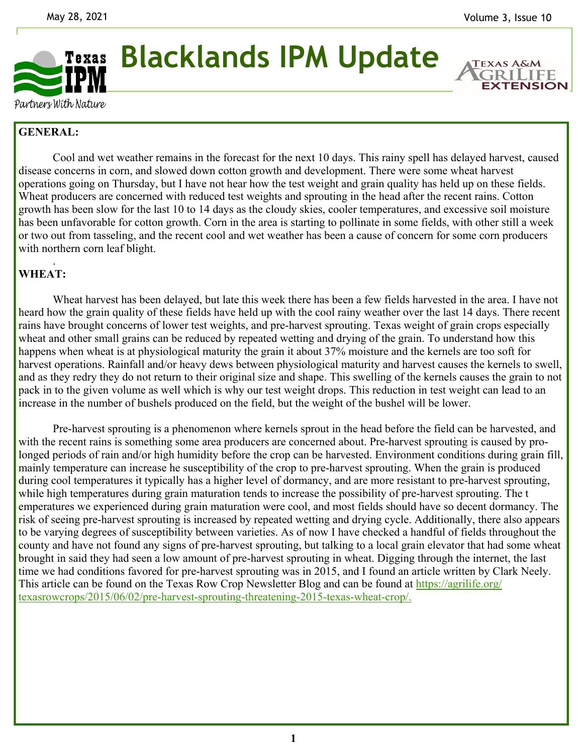

**Blacklands IPM Update** 

**EXTENSION** 

Partners With Nature

## **GENERAL:**

 Cool and wet weather remains in the forecast for the next 10 days. This rainy spell has delayed harvest, caused disease concerns in corn, and slowed down cotton growth and development. There were some wheat harvest operations going on Thursday, but I have not hear how the test weight and grain quality has held up on these fields. Wheat producers are concerned with reduced test weights and sprouting in the head after the recent rains. Cotton growth has been slow for the last 10 to 14 days as the cloudy skies, cooler temperatures, and excessive soil moisture has been unfavorable for cotton growth. Corn in the area is starting to pollinate in some fields, with other still a week or two out from tasseling, and the recent cool and wet weather has been a cause of concern for some corn producers with northern corn leaf blight.

## . **WHEAT:**

Wheat harvest has been delayed, but late this week there has been a few fields harvested in the area. I have not heard how the grain quality of these fields have held up with the cool rainy weather over the last 14 days. There recent rains have brought concerns of lower test weights, and pre-harvest sprouting. Texas weight of grain crops especially wheat and other small grains can be reduced by repeated wetting and drying of the grain. To understand how this happens when wheat is at physiological maturity the grain it about 37% moisture and the kernels are too soft for harvest operations. Rainfall and/or heavy dews between physiological maturity and harvest causes the kernels to swell, and as they redry they do not return to their original size and shape. This swelling of the kernels causes the grain to not pack in to the given volume as well which is why our test weight drops. This reduction in test weight can lead to an increase in the number of bushels produced on the field, but the weight of the bushel will be lower.

 Pre-harvest sprouting is a phenomenon where kernels sprout in the head before the field can be harvested, and with the recent rains is something some area producers are concerned about. Pre-harvest sprouting is caused by prolonged periods of rain and/or high humidity before the crop can be harvested. Environment conditions during grain fill, mainly temperature can increase he susceptibility of the crop to pre-harvest sprouting. When the grain is produced during cool temperatures it typically has a higher level of dormancy, and are more resistant to pre-harvest sprouting, while high temperatures during grain maturation tends to increase the possibility of pre-harvest sprouting. The t emperatures we experienced during grain maturation were cool, and most fields should have so decent dormancy. The risk of seeing pre-harvest sprouting is increased by repeated wetting and drying cycle. Additionally, there also appears to be varying degrees of susceptibility between varieties. As of now I have checked a handful of fields throughout the county and have not found any signs of pre-harvest sprouting, but talking to a local grain elevator that had some wheat brought in said they had seen a low amount of pre-harvest sprouting in wheat. Digging through the internet, the last time we had conditions favored for pre-harvest sprouting was in 2015, and I found an article written by Clark Neely. This article can be found on the Texas Row Crop Newsletter Blog and can be found at https://agrilife.org/ texasrowcrops/2015/06/02/pre-harvest-sprouting-threatening-2015-texas-wheat-crop/.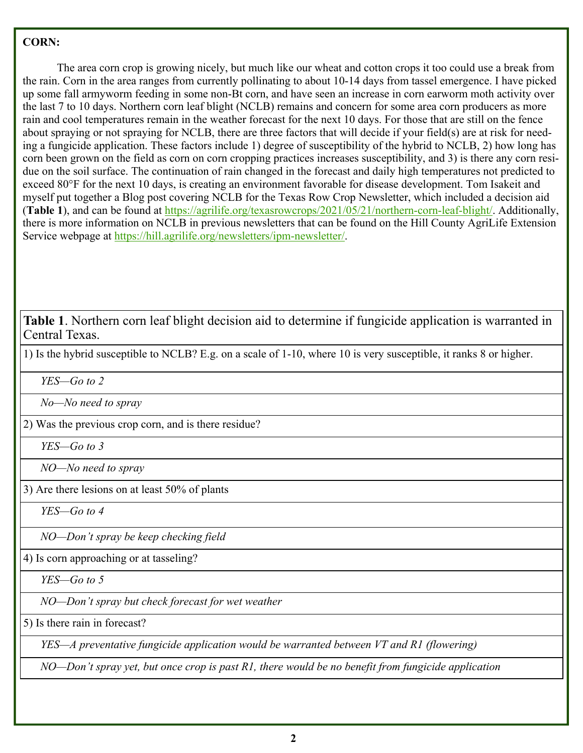## **CORN:**

 The area corn crop is growing nicely, but much like our wheat and cotton crops it too could use a break from the rain. Corn in the area ranges from currently pollinating to about 10-14 days from tassel emergence. I have picked up some fall armyworm feeding in some non-Bt corn, and have seen an increase in corn earworm moth activity over the last 7 to 10 days. Northern corn leaf blight (NCLB) remains and concern for some area corn producers as more rain and cool temperatures remain in the weather forecast for the next 10 days. For those that are still on the fence about spraying or not spraying for NCLB, there are three factors that will decide if your field(s) are at risk for needing a fungicide application. These factors include 1) degree of susceptibility of the hybrid to NCLB, 2) how long has corn been grown on the field as corn on corn cropping practices increases susceptibility, and 3) is there any corn residue on the soil surface. The continuation of rain changed in the forecast and daily high temperatures not predicted to exceed 80°F for the next 10 days, is creating an environment favorable for disease development. Tom Isakeit and myself put together a Blog post covering NCLB for the Texas Row Crop Newsletter, which included a decision aid (**Table 1**), and can be found at https://agrilife.org/texasrowcrops/2021/05/21/northern-corn-leaf-blight/. Additionally, there is more information on NCLB in previous newsletters that can be found on the Hill County AgriLife Extension Service webpage at https://hill.agrilife.org/newsletters/ipm-newsletter/.

**Table 1**. Northern corn leaf blight decision aid to determine if fungicide application is warranted in Central Texas.

1) Is the hybrid susceptible to NCLB? E.g. on a scale of 1-10, where 10 is very susceptible, it ranks 8 or higher.

 *YES—Go to 2* 

 *No—No need to spray* 

2) Was the previous crop corn, and is there residue?

 *YES—Go to 3* 

 *NO—No need to spray* 

3) Are there lesions on at least 50% of plants

 *YES—Go to 4* 

 *NO—Don't spray be keep checking field* 

4) Is corn approaching or at tasseling?

 *YES—Go to 5* 

 *NO—Don't spray but check forecast for wet weather* 

5) Is there rain in forecast?

 *YES—A preventative fungicide application would be warranted between VT and R1 (flowering)* 

 *NO—Don't spray yet, but once crop is past R1, there would be no benefit from fungicide application*